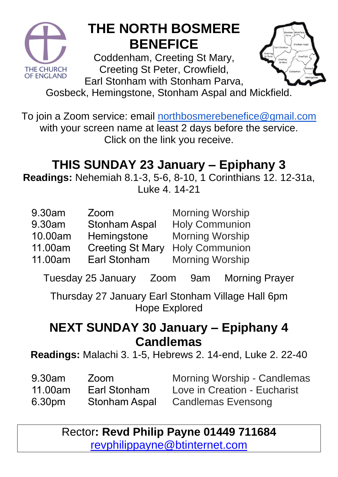

## **THE NORTH BOSMERE BENEFICE**

Coddenham, Creeting St Mary, Creeting St Peter, Crowfield, Earl Stonham with Stonham Parva,



Gosbeck, Hemingstone, Stonham Aspal and Mickfield.

To join a Zoom service: email [northbosmerebenefice@gmail.com](mailto:northbosmerebenefice@gmail.com) with your screen name at least 2 days before the service. Click on the link you receive.

### **THIS SUNDAY 23 January – Epiphany 3**

**Readings:** Nehemiah 8.1-3, 5-6, 8-10, 1 Corinthians 12. 12-31a, Luke 4. 14-21

| 9.30am          | Zoom                                                    | <b>Morning Worship</b> |
|-----------------|---------------------------------------------------------|------------------------|
| 9.30am          | <b>Stonham Aspal</b>                                    | <b>Holy Communion</b>  |
| 10.00am         | Hemingstone                                             | <b>Morning Worship</b> |
| $\overline{11}$ | $\mathbf{A}$ $\mathbf{A}$ $\mathbf{A}$<br>$\sim$ $\sim$ | . A                    |

- 11.00am Creeting St Mary Holy Communion
- 11.00am Earl Stonham

Morning Worship

Tuesday 25 January Zoom 9am Morning Prayer

Thursday 27 January Earl Stonham Village Hall 6pm Hope Explored

#### **NEXT SUNDAY 30 January – Epiphany 4 Candlemas**

**Readings:** Malachi 3. 1-5, Hebrews 2. 14-end, Luke 2. 22-40

9.30am 11.00am 6.30pm Zoom Earl Stonham Stonham Aspal

Morning Worship - Candlemas Love in Creation - Eucharist Candlemas Evensong

Rector**: Revd Philip Payne 01449 711684**  [revphilippayne@btinternet.com](mailto:revphilippayne@btinternet.com)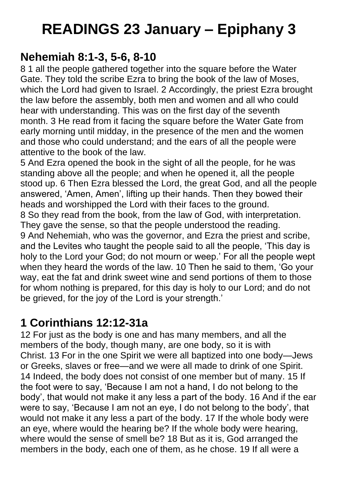## **READINGS 23 January – Epiphany 3**

#### **Nehemiah 8:1-3, 5-6, 8-10**

8 1 all the people gathered together into the square before the Water Gate. They told the scribe Ezra to bring the book of the law of Moses, which the Lord had given to Israel. 2 Accordingly, the priest Ezra brought the law before the assembly, both men and women and all who could hear with understanding. This was on the first day of the seventh month. 3 He read from it facing the square before the Water Gate from early morning until midday, in the presence of the men and the women and those who could understand; and the ears of all the people were attentive to the book of the law.

5 And Ezra opened the book in the sight of all the people, for he was standing above all the people; and when he opened it, all the people stood up. 6 Then Ezra blessed the Lord, the great God, and all the people answered, 'Amen, Amen', lifting up their hands. Then they bowed their heads and worshipped the Lord with their faces to the ground. 8 So they read from the book, from the law of God, with interpretation. They gave the sense, so that the people understood the reading. 9 And Nehemiah, who was the governor, and Ezra the priest and scribe, and the Levites who taught the people said to all the people, 'This day is holy to the Lord your God; do not mourn or weep.' For all the people wept when they heard the words of the law. 10 Then he said to them, 'Go your way, eat the fat and drink sweet wine and send portions of them to those for whom nothing is prepared, for this day is holy to our Lord; and do not be grieved, for the joy of the Lord is your strength.'

#### **1 Corinthians 12:12-31a**

12 For just as the body is one and has many members, and all the members of the body, though many, are one body, so it is with Christ. 13 For in the one Spirit we were all baptized into one body—Jews or Greeks, slaves or free—and we were all made to drink of one Spirit. 14 Indeed, the body does not consist of one member but of many. 15 If the foot were to say, 'Because I am not a hand, I do not belong to the body', that would not make it any less a part of the body. 16 And if the ear were to say, 'Because I am not an eye, I do not belong to the body', that would not make it any less a part of the body. 17 If the whole body were an eye, where would the hearing be? If the whole body were hearing, where would the sense of smell be? 18 But as it is, God arranged the members in the body, each one of them, as he chose. 19 If all were a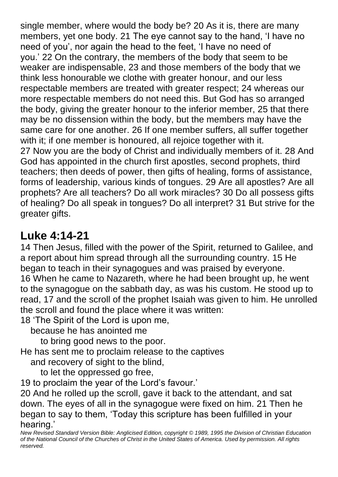single member, where would the body be? 20 As it is, there are many members, yet one body. 21 The eye cannot say to the hand, 'I have no need of you', nor again the head to the feet, 'I have no need of you.' 22 On the contrary, the members of the body that seem to be weaker are indispensable, 23 and those members of the body that we think less honourable we clothe with greater honour, and our less respectable members are treated with greater respect; 24 whereas our more respectable members do not need this. But God has so arranged the body, giving the greater honour to the inferior member, 25 that there may be no dissension within the body, but the members may have the same care for one another. 26 If one member suffers, all suffer together with it; if one member is honoured, all rejoice together with it. 27 Now you are the body of Christ and individually members of it. 28 And God has appointed in the church first apostles, second prophets, third teachers; then deeds of power, then gifts of healing, forms of assistance, forms of leadership, various kinds of tongues. 29 Are all apostles? Are all prophets? Are all teachers? Do all work miracles? 30 Do all possess gifts of healing? Do all speak in tongues? Do all interpret? 31 But strive for the greater gifts.

#### **Luke 4:14-21**

14 Then Jesus, filled with the power of the Spirit, returned to Galilee, and a report about him spread through all the surrounding country. 15 He began to teach in their synagogues and was praised by everyone. 16 When he came to Nazareth, where he had been brought up, he went to the synagogue on the sabbath day, as was his custom. He stood up to read, 17 and the scroll of the prophet Isaiah was given to him. He unrolled the scroll and found the place where it was written:

18 'The Spirit of the Lord is upon me,

because he has anointed me

to bring good news to the poor.

He has sent me to proclaim release to the captives

and recovery of sight to the blind,

to let the oppressed go free,

19 to proclaim the year of the Lord's favour.'

20 And he rolled up the scroll, gave it back to the attendant, and sat down. The eyes of all in the synagogue were fixed on him. 21 Then he began to say to them, 'Today this scripture has been fulfilled in your hearing.'

*New Revised Standard Version Bible: Anglicised Edition, copyright © 1989, 1995 the Division of Christian Education of the National Council of the Churches of Christ in the United States of America. Used by permission. All rights reserved.*